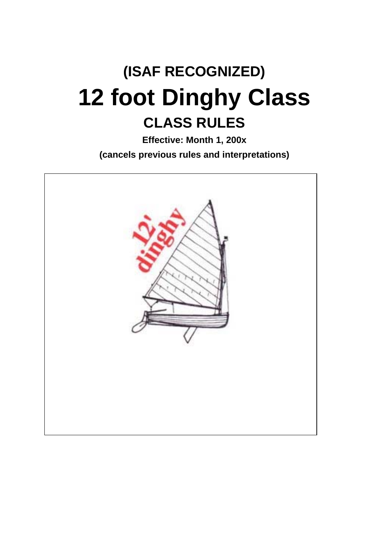# **(ISAF RECOGNIZED) 12 foot Dinghy Class CLASS RULES**

**Effective: Month 1, 200x (cancels previous rules and interpretations)** 

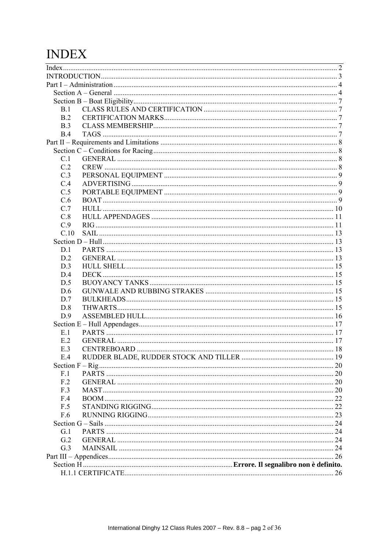# **INDEX**

| B.1  |       |  |
|------|-------|--|
| B.2  |       |  |
| B.3  |       |  |
| B.4  |       |  |
|      |       |  |
|      |       |  |
| C.1  |       |  |
| C.2  |       |  |
| C.3  |       |  |
| C.4  |       |  |
| C.5  |       |  |
| C.6  |       |  |
| C.7  |       |  |
| C.8  |       |  |
| C.9  |       |  |
| C.10 |       |  |
|      |       |  |
| D.1  |       |  |
| D.2  |       |  |
| D.3  |       |  |
| D.4  |       |  |
| D.5  |       |  |
| D.6  |       |  |
| D.7  |       |  |
| D.8  |       |  |
| D.9  |       |  |
|      |       |  |
| E.1  |       |  |
| E.2  |       |  |
| E.3  |       |  |
| E 4  |       |  |
|      |       |  |
| F.1  |       |  |
| F.2  |       |  |
| F.3  |       |  |
| F.4  | BOOM. |  |
| F.5  |       |  |
| F.6  |       |  |
|      |       |  |
| G.1  |       |  |
| G.2  |       |  |
| G.3  |       |  |
|      |       |  |
|      |       |  |
|      |       |  |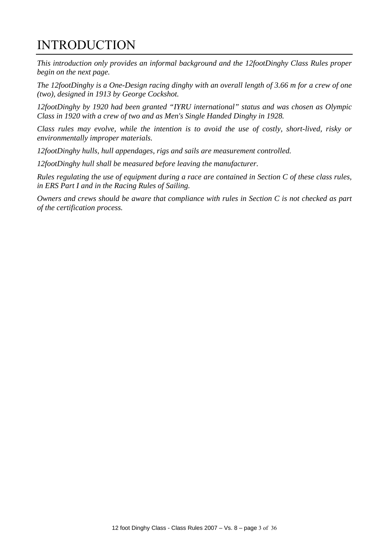# INTRODUCTION

*This introduction only provides an informal background and the 12footDinghy Class Rules proper begin on the next page.* 

*The 12footDinghy is a One-Design racing dinghy with an overall length of 3.66 m for a crew of one (two), designed in 1913 by George Cockshot.*

*12footDinghy by 1920 had been granted "IYRU international" status and was chosen as Olympic Class in 1920 with a crew of two and as Men's Single Handed Dinghy in 1928.* 

*Class rules may evolve, while the intention is to avoid the use of costly, short-lived, risky or environmentally improper materials.* 

*12footDinghy hulls, hull appendages, rigs and sails are measurement controlled.* 

*12footDinghy hull shall be measured before leaving the manufacturer.* 

*Rules regulating the use of equipment during a race are contained in Section C of these class rules, in ERS Part I and in the Racing Rules of Sailing.* 

*Owners and crews should be aware that compliance with rules in Section C is not checked as part of the certification process.*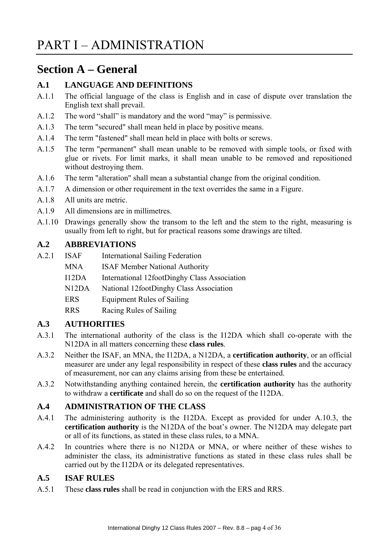# **Section A – General**

# **A.1 LANGUAGE AND DEFINITIONS**

- A.1.1 The official language of the class is English and in case of dispute over translation the English text shall prevail.
- A.1.2 The word "shall" is mandatory and the word "may" is permissive.
- A.1.3 The term "secured" shall mean held in place by positive means.
- A.1.4 The term "fastened" shall mean held in place with bolts or screws.
- A.1.5 The term "permanent" shall mean unable to be removed with simple tools, or fixed with glue or rivets. For limit marks, it shall mean unable to be removed and repositioned without destroying them.
- A.1.6 The term "alteration" shall mean a substantial change from the original condition.
- A.1.7 A dimension or other requirement in the text overrides the same in a Figure.
- A.1.8 All units are metric.
- A.1.9 All dimensions are in millimetres.
- A.1.10 Drawings generally show the transom to the left and the stem to the right, measuring is usually from left to right, but for practical reasons some drawings are tilted.

# **A.2 ABBREVIATIONS**

- A.2.1 ISAF International Sailing Federation
	- MNA **ISAF Member National Authority**
	- I12DA International 12footDinghy Class Association
	- N12DA National 12footDinghy Class Association
	- ERS Equipment Rules of Sailing
	- RRS Racing Rules of Sailing

# **A.3 AUTHORITIES**

- A.3.1 The international authority of the class is the I12DA which shall co-operate with the N12DA in all matters concerning these **class rules**.
- A.3.2 Neither the ISAF, an MNA, the I12DA, a N12DA, a **certification authority**, or an official measurer are under any legal responsibility in respect of these **class rules** and the accuracy of measurement, nor can any claims arising from these be entertained.
- A.3.2 Notwithstanding anything contained herein, the **certification authority** has the authority to withdraw a **certificate** and shall do so on the request of the I12DA.

# **A.4 ADMINISTRATION OF THE CLASS**

- A.4.1 The administering authority is the I12DA. Except as provided for under A.10.3, the **certification authority** is the N12DA of the boat's owner. The N12DA may delegate part or all of its functions, as stated in these class rules, to a MNA.
- A.4.2 In countries where there is no N12DA or MNA, or where neither of these wishes to administer the class, its administrative functions as stated in these class rules shall be carried out by the I12DA or its delegated representatives.

# **A.5 ISAF RULES**

A.5.1 These **class rules** shall be read in conjunction with the ERS and RRS.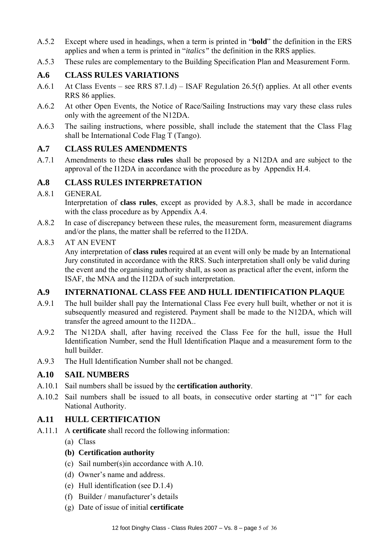- A.5.2 Except where used in headings, when a term is printed in "**bold**" the definition in the ERS applies and when a term is printed in "*italics"* the definition in the RRS applies.
- A.5.3 These rules are complementary to the Building Specification Plan and Measurement Form.

# **A.6 CLASS RULES VARIATIONS**

- A.6.1 At Class Events see RRS 87.1.d) ISAF Regulation 26.5(f) applies. At all other events RRS 86 applies.
- A.6.2 At other Open Events, the Notice of Race/Sailing Instructions may vary these class rules only with the agreement of the N12DA.
- A.6.3 The sailing instructions, where possible, shall include the statement that the Class Flag shall be International Code Flag T (Tango).

# **A.7 CLASS RULES AMENDMENTS**

A.7.1 Amendments to these **class rules** shall be proposed by a N12DA and are subject to the approval of the I12DA in accordance with the procedure as by Appendix H.4.

# **A.8 CLASS RULES INTERPRETATION**

# A.8.1 GENERAL

Interpretation of **class rules**, except as provided by A.8.3, shall be made in accordance with the class procedure as by Appendix A.4.

A.8.2 In case of discrepancy between these rules, the measurement form, measurement diagrams and/or the plans, the matter shall be referred to the I12DA.

#### A.8.3 AT AN EVENT

Any interpretation of **class rules** required at an event will only be made by an International Jury constituted in accordance with the RRS. Such interpretation shall only be valid during the event and the organising authority shall, as soon as practical after the event, inform the ISAF, the MNA and the I12DA of such interpretation.

# **A.9 INTERNATIONAL CLASS FEE AND HULL IDENTIFICATION PLAQUE**

- A.9.1 The hull builder shall pay the International Class Fee every hull built, whether or not it is subsequently measured and registered. Payment shall be made to the N12DA, which will transfer the agreed amount to the I12DA..
- A.9.2 The N12DA shall, after having received the Class Fee for the hull, issue the Hull Identification Number, send the Hull Identification Plaque and a measurement form to the hull builder.
- A.9.3 The Hull Identification Number shall not be changed.

# **A.10 SAIL NUMBERS**

- A.10.1 Sail numbers shall be issued by the **certification authority**.
- A.10.2 Sail numbers shall be issued to all boats, in consecutive order starting at "1" for each National Authority.

# **A.11 HULL CERTIFICATION**

- A.11.1 A **certificate** shall record the following information:
	- (a) Class

# **(b) Certification authority**

- (c) Sail number(s)in accordance with A.10.
- (d) Owner's name and address.
- (e) Hull identification (see D.1.4)
- (f) Builder / manufacturer's details
- (g) Date of issue of initial **certificate**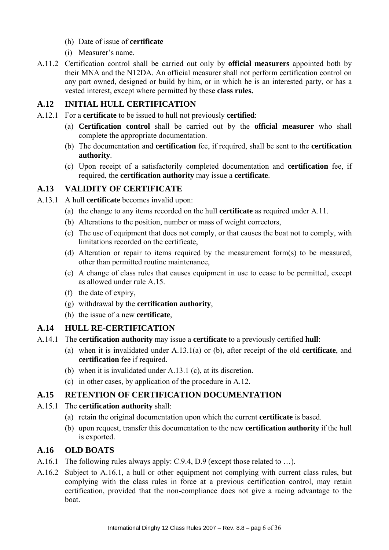- (h) Date of issue of **certificate**
- (i) Measurer's name.
- A.11.2 Certification control shall be carried out only by **official measurers** appointed both by their MNA and the N12DA. An official measurer shall not perform certification control on any part owned, designed or build by him, or in which he is an interested party, or has a vested interest, except where permitted by these **class rules.**

# **A.12 INITIAL HULL CERTIFICATION**

- A.12.1 For a **certificate** to be issued to hull not previously **certified**:
	- (a) **Certification control** shall be carried out by the **official measurer** who shall complete the appropriate documentation.
	- (b) The documentation and **certification** fee, if required, shall be sent to the **certification authority**.
	- (c) Upon receipt of a satisfactorily completed documentation and **certification** fee, if required, the **certification authority** may issue a **certificate**.

#### **A.13 VALIDITY OF CERTIFICATE**

- A.13.1 A hull **certificate** becomes invalid upon:
	- (a) the change to any items recorded on the hull **certificate** as required under A.11.
	- (b) Alterations to the position, number or mass of weight correctors,
	- (c) The use of equipment that does not comply, or that causes the boat not to comply, with limitations recorded on the certificate,
	- (d) Alteration or repair to items required by the measurement form(s) to be measured, other than permitted routine maintenance,
	- (e) A change of class rules that causes equipment in use to cease to be permitted, except as allowed under rule A.15.
	- (f) the date of expiry,
	- (g) withdrawal by the **certification authority**,
	- (h) the issue of a new **certificate**,

#### **A.14 HULL RE-CERTIFICATION**

- A.14.1 The **certification authority** may issue a **certificate** to a previously certified **hull**:
	- (a) when it is invalidated under A.13.1(a) or (b), after receipt of the old **certificate**, and **certification** fee if required.
	- (b) when it is invalidated under A.13.1 (c), at its discretion.
	- (c) in other cases, by application of the procedure in A.12.

#### **A.15 RETENTION OF CERTIFICATION DOCUMENTATION**

- A.15.1 The **certification authority** shall:
	- (a) retain the original documentation upon which the current **certificate** is based.
	- (b) upon request, transfer this documentation to the new **certification authority** if the hull is exported.

#### **A.16 OLD BOATS**

- A.16.1 The following rules always apply: C.9.4, D.9 (except those related to …).
- A.16.2 Subject to A.16.1, a hull or other equipment not complying with current class rules, but complying with the class rules in force at a previous certification control, may retain certification, provided that the non-compliance does not give a racing advantage to the boat.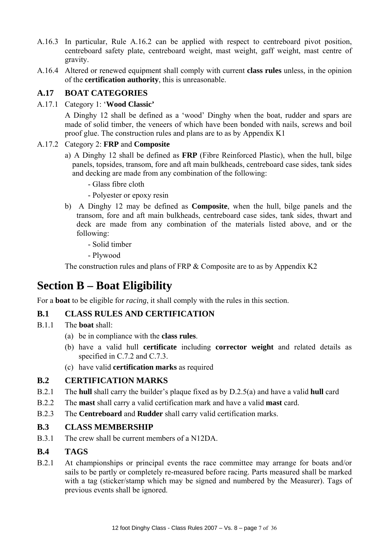- A.16.3 In particular, Rule A.16.2 can be applied with respect to centreboard pivot position, centreboard safety plate, centreboard weight, mast weight, gaff weight, mast centre of gravity.
- A.16.4 Altered or renewed equipment shall comply with current **class rules** unless, in the opinion of the **certification authority**, this is unreasonable.

# **A.17 BOAT CATEGORIES**

A.17.1 Category 1: '**Wood Classic'**

 A Dinghy 12 shall be defined as a 'wood' Dinghy when the boat, rudder and spars are made of solid timber, the veneers of which have been bonded with nails, screws and boil proof glue. The construction rules and plans are to as by Appendix K1

#### A.17.2 Category 2: **FRP** and **Composite**

- a) A Dinghy 12 shall be defined as **FRP** (Fibre Reinforced Plastic), when the hull, bilge panels, topsides, transom, fore and aft main bulkheads, centreboard case sides, tank sides and decking are made from any combination of the following:
	- Glass fibre cloth
	- Polyester or epoxy resin
- b) A Dinghy 12 may be defined as **Composite**, when the hull, bilge panels and the transom, fore and aft main bulkheads, centreboard case sides, tank sides, thwart and deck are made from any combination of the materials listed above, and or the following:
	- Solid timber
	- Plywood

The construction rules and plans of FRP & Composite are to as by Appendix K2

# **Section B – Boat Eligibility**

For a **boat** to be eligible for *racing*, it shall comply with the rules in this section.

# **B.1 CLASS RULES AND CERTIFICATION**

- B.1.1 The **boat** shall:
	- (a) be in compliance with the **class rules**.
	- (b) have a valid hull **certificate** including **corrector weight** and related details as specified in C.7.2 and C.7.3.
	- (c) have valid **certification marks** as required

# **B.2 CERTIFICATION MARKS**

- B.2.1 The **hull** shall carry the builder's plaque fixed as by D.2.5(a) and have a valid **hull** card
- B.2.2 The **mast** shall carry a valid certification mark and have a valid **mast** card.
- B.2.3 The **Centreboard** and **Rudder** shall carry valid certification marks.

# **B.3 CLASS MEMBERSHIP**

B.3.1 The crew shall be current members of a N12DA.

# **B.4 TAGS**

B.2.1 At championships or principal events the race committee may arrange for boats and/or sails to be partly or completely re-measured before racing. Parts measured shall be marked with a tag (sticker/stamp which may be signed and numbered by the Measurer). Tags of previous events shall be ignored.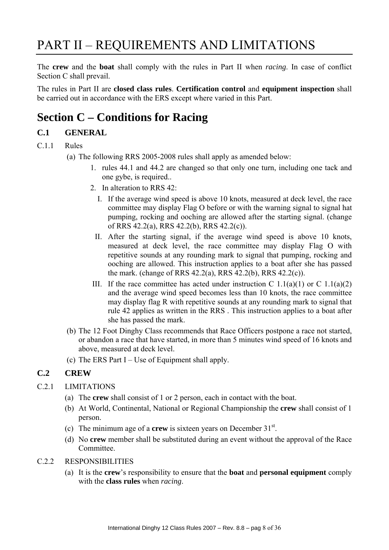# PART II – REQUIREMENTS AND LIMITATIONS

The **crew** and the **boat** shall comply with the rules in Part II when *racing*. In case of conflict Section C shall prevail.

The rules in Part II are **closed class rules**. **Certification control** and **equipment inspection** shall be carried out in accordance with the ERS except where varied in this Part.

# **Section C – Conditions for Racing**

# **C.1 GENERAL**

#### C.1.1 Rules

- (a) The following RRS 2005-2008 rules shall apply as amended below:
	- 1. rules 44.1 and 44.2 are changed so that only one turn, including one tack and one gybe, is required..
	- 2. In alteration to RRS 42:
		- I. If the average wind speed is above 10 knots, measured at deck level, the race committee may display Flag O before or with the warning signal to signal hat pumping, rocking and ooching are allowed after the starting signal. (change of RRS 42.2(a), RRS 42.2(b), RRS 42.2(c)).
		- II. After the starting signal, if the average wind speed is above 10 knots, measured at deck level, the race committee may display Flag O with repetitive sounds at any rounding mark to signal that pumping, rocking and ooching are allowed. This instruction applies to a boat after she has passed the mark. (change of RRS 42.2(a), RRS 42.2(b), RRS 42.2(c)).
	- III. If the race committee has acted under instruction C  $1.1(a)(1)$  or C  $1.1(a)(2)$ and the average wind speed becomes less than 10 knots, the race committee may display flag R with repetitive sounds at any rounding mark to signal that rule 42 applies as written in the RRS . This instruction applies to a boat after she has passed the mark.
- (b) The 12 Foot Dinghy Class recommends that Race Officers postpone a race not started, or abandon a race that have started, in more than 5 minutes wind speed of 16 knots and above, measured at deck level.
- (c) The ERS Part I Use of Equipment shall apply.

# **C.2 CREW**

- C.2.1 LIMITATIONS
	- (a) The **crew** shall consist of 1 or 2 person, each in contact with the boat.
	- (b) At World, Continental, National or Regional Championship the **crew** shall consist of 1 person.
	- (c) The minimum age of a **crew** is sixteen years on December  $31<sup>st</sup>$ .
	- (d) No **crew** member shall be substituted during an event without the approval of the Race Committee.

#### C.2.2 RESPONSIBILITIES

(a) It is the **crew**'s responsibility to ensure that the **boat** and **personal equipment** comply with the **class rules** when *racing*.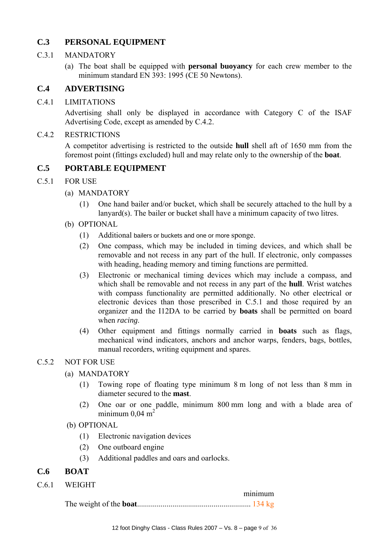# **C.3 PERSONAL EQUIPMENT**

#### C.3.1 MANDATORY

(a) The boat shall be equipped with **personal buoyancy** for each crew member to the minimum standard EN 393: 1995 (CE 50 Newtons).

# **C.4 ADVERTISING**

#### C.4.1 LIMITATIONS

Advertising shall only be displayed in accordance with Category C of the ISAF Advertising Code, except as amended by C.4.2.

#### C.4.2 RESTRICTIONS

 A competitor advertising is restricted to the outside **hull** shell aft of 1650 mm from the foremost point (fittings excluded) hull and may relate only to the ownership of the **boat**.

# **C.5 PORTABLE EQUIPMENT**

#### C.5.1 FOR USE

- (a) MANDATORY
	- (1) One hand bailer and/or bucket, which shall be securely attached to the hull by a lanyard(s). The bailer or bucket shall have a minimum capacity of two litres.
- (b) OPTIONAL
	- (1) Additional bailers or buckets and one or more sponge.
	- (2) One compass, which may be included in timing devices, and which shall be removable and not recess in any part of the hull. If electronic, only compasses with heading, heading memory and timing functions are permitted.
	- (3) Electronic or mechanical timing devices which may include a compass, and which shall be removable and not recess in any part of the **hull**. Wrist watches with compass functionality are permitted additionally. No other electrical or electronic devices than those prescribed in C.5.1 and those required by an organizer and the I12DA to be carried by **boats** shall be permitted on board when *racing*.
	- (4) Other equipment and fittings normally carried in **boats** such as flags, mechanical wind indicators, anchors and anchor warps, fenders, bags, bottles, manual recorders, writing equipment and spares.

#### C.5.2 NOT FOR USE

- (a) MANDATORY
	- (1) Towing rope of floating type minimum 8 m long of not less than 8 mm in diameter secured to the **mast**.
	- (2) One oar or one paddle, minimum 800 mm long and with a blade area of minimum  $0.04$  m<sup>2</sup>
- (b) OPTIONAL
	- (1) Electronic navigation devices
	- (2) One outboard engine
	- (3) Additional paddles and oars and oarlocks.

#### **C.6 BOAT**

C.6.1 WEIGHT

| minimum |
|---------|
|         |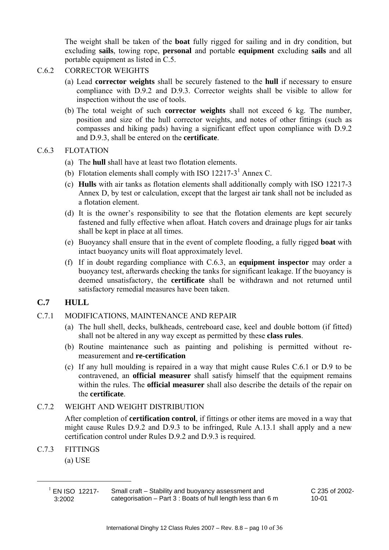The weight shall be taken of the **boat** fully rigged for sailing and in dry condition, but excluding **sails**, towing rope, **personal** and portable **equipment** excluding **sails** and all portable equipment as listed in C.5.

#### C.6.2 CORRECTOR WEIGHTS

- (a) Lead **corrector weights** shall be securely fastened to the **hull** if necessary to ensure compliance with D.9.2 and D.9.3. Corrector weights shall be visible to allow for inspection without the use of tools.
- (b) The total weight of such **corrector weights** shall not exceed 6 kg. The number, position and size of the hull corrector weights, and notes of other fittings (such as compasses and hiking pads) having a significant effect upon compliance with D.9.2 and D.9.3, shall be entered on the **certificate**.

#### C.6.3 FLOTATION

- (a) The **hull** shall have at least two flotation elements.
- (b) Flotation elements shall comply with ISO 12217-3<sup>1</sup> Annex C.
- (c) **Hulls** with air tanks as flotation elements shall additionally comply with ISO 12217-3 Annex D, by test or calculation, except that the largest air tank shall not be included as a flotation element.
- (d) It is the owner's responsibility to see that the flotation elements are kept securely fastened and fully effective when afloat. Hatch covers and drainage plugs for air tanks shall be kept in place at all times.
- (e) Buoyancy shall ensure that in the event of complete flooding, a fully rigged **boat** with intact buoyancy units will float approximately level.
- (f) If in doubt regarding compliance with C.6.3, an **equipment inspector** may order a buoyancy test, afterwards checking the tanks for significant leakage. If the buoyancy is deemed unsatisfactory, the **certificate** shall be withdrawn and not returned until satisfactory remedial measures have been taken.

# **C.7 HULL**

- C.7.1 MODIFICATIONS, MAINTENANCE AND REPAIR
	- (a) The hull shell, decks, bulkheads, centreboard case, keel and double bottom (if fitted) shall not be altered in any way except as permitted by these **class rules**.
	- (b) Routine maintenance such as painting and polishing is permitted without remeasurement and **re-certification**
	- (c) If any hull moulding is repaired in a way that might cause Rules C.6.1 or D.9 to be contravened, an **official measurer** shall satisfy himself that the equipment remains within the rules. The **official measurer** shall also describe the details of the repair on the **certificate**.

#### C.7.2 WEIGHT AND WEIGHT DISTRIBUTION

After completion of **certification control**, if fittings or other items are moved in a way that might cause Rules D.9.2 and D.9.3 to be infringed, Rule A.13.1 shall apply and a new certification control under Rules D.9.2 and D.9.3 is required.

C.7.3 FITTINGS

(a) USE

l

C 235 of 2002- 10-01

 $^{1}$  EN ISO 12217-3:2002

Small craft – Stability and buoyancy assessment and categorisation – Part 3 : Boats of hull length less than 6 m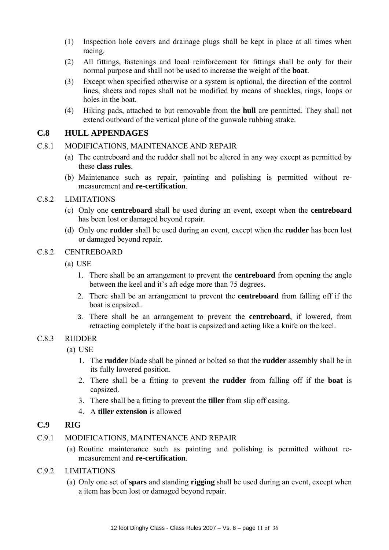- (1) Inspection hole covers and drainage plugs shall be kept in place at all times when racing.
- (2) All fittings, fastenings and local reinforcement for fittings shall be only for their normal purpose and shall not be used to increase the weight of the **boat**.
- (3) Except when specified otherwise or a system is optional, the direction of the control lines, sheets and ropes shall not be modified by means of shackles, rings, loops or holes in the boat.
- (4) Hiking pads, attached to but removable from the **hull** are permitted. They shall not extend outboard of the vertical plane of the gunwale rubbing strake.

# **C.8 HULL APPENDAGES**

#### C.8.1 MODIFICATIONS, MAINTENANCE AND REPAIR

- (a) The centreboard and the rudder shall not be altered in any way except as permitted by these **class rules**.
- (b) Maintenance such as repair, painting and polishing is permitted without remeasurement and **re-certification**.

#### C.8.2 LIMITATIONS

- (c) Only one **centreboard** shall be used during an event, except when the **centreboard** has been lost or damaged beyond repair.
- (d) Only one **rudder** shall be used during an event, except when the **rudder** has been lost or damaged beyond repair.

#### C.8.2 CENTREBOARD

- (a) USE
	- 1. There shall be an arrangement to prevent the **centreboard** from opening the angle between the keel and it's aft edge more than 75 degrees.
	- 2. There shall be an arrangement to prevent the **centreboard** from falling off if the boat is capsized..
	- 3. There shall be an arrangement to prevent the **centreboard**, if lowered, from retracting completely if the boat is capsized and acting like a knife on the keel.

#### C.8.3 RUDDER

(a) USE

- 1. The **rudder** blade shall be pinned or bolted so that the **rudder** assembly shall be in its fully lowered position.
- 2. There shall be a fitting to prevent the **rudder** from falling off if the **boat** is capsized.
- 3. There shall be a fitting to prevent the **tiller** from slip off casing.
- 4. A **tiller extension** is allowed

#### **C.9 RIG**

#### C.9.1 MODIFICATIONS, MAINTENANCE AND REPAIR

- (a) Routine maintenance such as painting and polishing is permitted without remeasurement and **re-certification**.
- C.9.2 LIMITATIONS
	- (a) Only one set of **spars** and standing **rigging** shall be used during an event, except when a item has been lost or damaged beyond repair.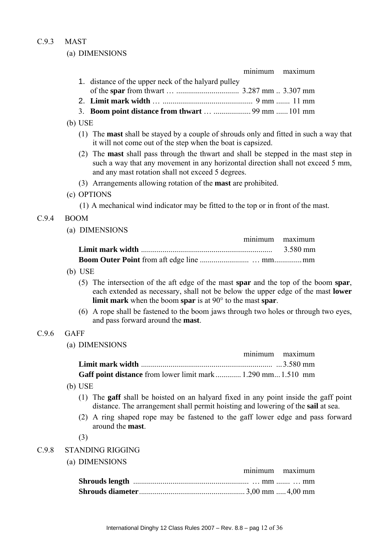# C.9.3 MAST

# (a) DIMENSIONS

|       | minimum<br>maximum                                                                                                                                                                                                                                       |
|-------|----------------------------------------------------------------------------------------------------------------------------------------------------------------------------------------------------------------------------------------------------------|
|       | 1. distance of the upper neck of the halyard pulley                                                                                                                                                                                                      |
|       |                                                                                                                                                                                                                                                          |
|       | 3. Boom point distance from thwart   99 mm  101 mm                                                                                                                                                                                                       |
|       | $(b)$ USE                                                                                                                                                                                                                                                |
|       | (1) The <b>mast</b> shall be stayed by a couple of shrouds only and fitted in such a way that                                                                                                                                                            |
|       | it will not come out of the step when the boat is capsized.                                                                                                                                                                                              |
|       | (2) The <b>mast</b> shall pass through the thwart and shall be stepped in the mast step in<br>such a way that any movement in any horizontal direction shall not exceed 5 mm,<br>and any mast rotation shall not exceed 5 degrees.                       |
|       | (3) Arrangements allowing rotation of the <b>mast</b> are prohibited.                                                                                                                                                                                    |
|       | (c) OPTIONS                                                                                                                                                                                                                                              |
|       | (1) A mechanical wind indicator may be fitted to the top or in front of the mast.                                                                                                                                                                        |
| C.9.4 | <b>BOOM</b>                                                                                                                                                                                                                                              |
|       | (a) DIMENSIONS                                                                                                                                                                                                                                           |
|       | minimum<br>maximum                                                                                                                                                                                                                                       |
|       | 3.580 mm                                                                                                                                                                                                                                                 |
|       |                                                                                                                                                                                                                                                          |
|       | $(b)$ USE                                                                                                                                                                                                                                                |
|       | (5) The intersection of the aft edge of the mast spar and the top of the boom spar,<br>each extended as necessary, shall not be below the upper edge of the mast <b>lower</b><br><b>limit mark</b> when the boom spar is at $90^\circ$ to the mast spar. |
|       | (6) A rope shall be fastened to the boom jaws through two holes or through two eyes,<br>and pass forward around the <b>mast</b> .                                                                                                                        |
| C.9.6 | <b>GAFF</b>                                                                                                                                                                                                                                              |
|       | (a) DIMENSIONS                                                                                                                                                                                                                                           |
|       | minimum maximum                                                                                                                                                                                                                                          |
|       |                                                                                                                                                                                                                                                          |
|       | Gaff point distance from lower limit mark  1.290 mm 1.510 mm                                                                                                                                                                                             |
|       | $(b)$ USE                                                                                                                                                                                                                                                |
|       | (1) The gaff shall be hoisted on an halyard fixed in any point inside the gaff point<br>distance. The arrangement shall permit hoisting and lowering of the sail at sea.                                                                                 |
|       | (2) A ring shaped rope may be fastened to the gaff lower edge and pass forward<br>around the mast.                                                                                                                                                       |
|       | (3)                                                                                                                                                                                                                                                      |
| C.9.8 | <b>STANDING RIGGING</b>                                                                                                                                                                                                                                  |
|       | (a) DIMENSIONS                                                                                                                                                                                                                                           |
|       | minimum<br>maximum                                                                                                                                                                                                                                       |
|       |                                                                                                                                                                                                                                                          |
|       |                                                                                                                                                                                                                                                          |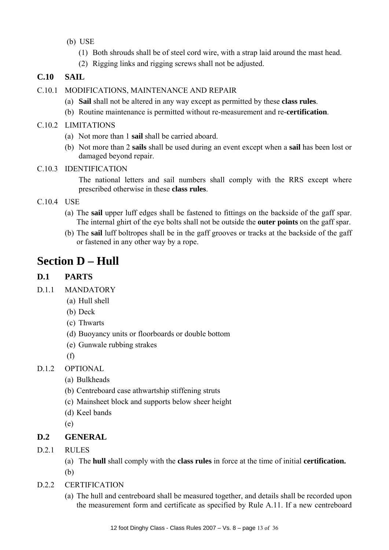- (b) USE
	- (1) Both shrouds shall be of steel cord wire, with a strap laid around the mast head.
	- (2) Rigging links and rigging screws shall not be adjusted.

# **C.10 SAIL**

- C.10.1 MODIFICATIONS, MAINTENANCE AND REPAIR
	- (a) **Sail** shall not be altered in any way except as permitted by these **class rules**.
	- (b) Routine maintenance is permitted without re-measurement and re-**certification**.
- C.10.2 LIMITATIONS
	- (a) Not more than 1 **sail** shall be carried aboard.
	- (b) Not more than 2 **sails** shall be used during an event except when a **sail** has been lost or damaged beyond repair.

#### C.10.3 IDENTIFICATION

The national letters and sail numbers shall comply with the RRS except where prescribed otherwise in these **class rules**.

# C.10.4 USE

- (a) The **sail** upper luff edges shall be fastened to fittings on the backside of the gaff spar. The internal ghirt of the eye bolts shall not be outside the **outer points** on the gaff spar.
- (b) The **sail** luff boltropes shall be in the gaff grooves or tracks at the backside of the gaff or fastened in any other way by a rope.

# **Section D – Hull**

# **D.1 PARTS**

- D.1.1 MANDATORY
	- (a) Hull shell
	- (b) Deck
	- (c) Thwarts
	- (d) Buoyancy units or floorboards or double bottom
	- (e) Gunwale rubbing strakes
	- (f)
- D.1.2 OPTIONAL
	- (a) Bulkheads
	- (b) Centreboard case athwartship stiffening struts
	- (c) Mainsheet block and supports below sheer height
	- (d) Keel bands

(e)

# **D.2 GENERAL**

- D.2.1 RIILES
	- (a) The **hull** shall comply with the **class rules** in force at the time of initial **certification.**
	- (b)
- D.2.2 CERTIFICATION
	- (a) The hull and centreboard shall be measured together, and details shall be recorded upon the measurement form and certificate as specified by Rule A.11. If a new centreboard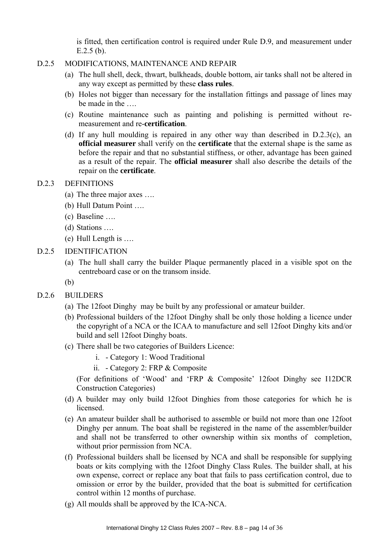is fitted, then certification control is required under Rule D.9, and measurement under E.2.5 (b).

#### D.2.5 MODIFICATIONS, MAINTENANCE AND REPAIR

- (a) The hull shell, deck, thwart, bulkheads, double bottom, air tanks shall not be altered in any way except as permitted by these **class rules**.
- (b) Holes not bigger than necessary for the installation fittings and passage of lines may be made in the ….
- (c) Routine maintenance such as painting and polishing is permitted without remeasurement and re-**certification**.
- (d) If any hull moulding is repaired in any other way than described in D.2.3(c), an **official measurer** shall verify on the **certificate** that the external shape is the same as before the repair and that no substantial stiffness, or other, advantage has been gained as a result of the repair. The **official measurer** shall also describe the details of the repair on the **certificate**.

#### D.2.3 DEFINITIONS

- (a) The three major axes ….
- (b) Hull Datum Point ….
- (c) Baseline ….
- (d) Stations ….
- (e) Hull Length is ….
- D.2.5 IDENTIFICATION
	- (a) The hull shall carry the builder Plaque permanently placed in a visible spot on the centreboard case or on the transom inside.
	- (b)
- D.2.6 BUILDERS
	- (a) The 12foot Dinghy may be built by any professional or amateur builder.
	- (b) Professional builders of the 12foot Dinghy shall be only those holding a licence under the copyright of a NCA or the ICAA to manufacture and sell 12foot Dinghy kits and/or build and sell 12foot Dinghy boats.
	- (c) There shall be two categories of Builders Licence:
		- i. Category 1: Wood Traditional
		- ii. Category 2: FRP & Composite

(For definitions of 'Wood' and 'FRP & Composite' 12foot Dinghy see I12DCR Construction Categories)

- (d) A builder may only build 12foot Dinghies from those categories for which he is **licensed**
- (e) An amateur builder shall be authorised to assemble or build not more than one 12foot Dinghy per annum. The boat shall be registered in the name of the assembler/builder and shall not be transferred to other ownership within six months of completion, without prior permission from NCA.
- (f) Professional builders shall be licensed by NCA and shall be responsible for supplying boats or kits complying with the 12foot Dinghy Class Rules. The builder shall, at his own expense, correct or replace any boat that fails to pass certification control, due to omission or error by the builder, provided that the boat is submitted for certification control within 12 months of purchase.
- (g) All moulds shall be approved by the ICA-NCA.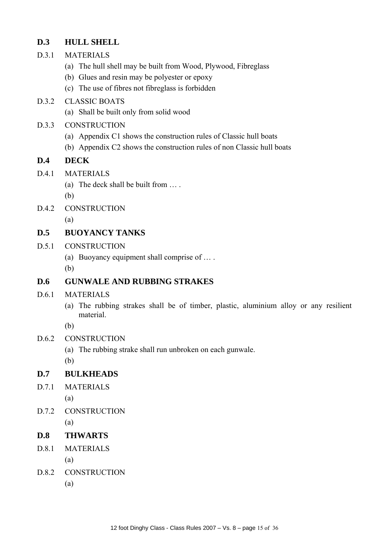# **D.3 HULL SHELL**

- D.3.1 MATERIALS
	- (a) The hull shell may be built from Wood, Plywood, Fibreglass
	- (b) Glues and resin may be polyester or epoxy
	- (c) The use of fibres not fibreglass is forbidden

# D.3.2 CLASSIC BOATS

- (a) Shall be built only from solid wood
- D.3.3 CONSTRUCTION
	- (a) Appendix C1 shows the construction rules of Classic hull boats
	- (b) Appendix C2 shows the construction rules of non Classic hull boats

# **D.4 DECK**

- D.4.1 MATERIALS
	- (a) The deck shall be built from … .

(b)

D.4.2 CONSTRUCTION

(a)

# **D.5 BUOYANCY TANKS**

- D.5.1 CONSTRUCTION
	- (a) Buoyancy equipment shall comprise of … .

(b)

# **D.6 GUNWALE AND RUBBING STRAKES**

- D.6.1 MATERIALS
	- (a) The rubbing strakes shall be of timber, plastic, aluminium alloy or any resilient material.

(b)

- D.6.2 CONSTRUCTION
	- (a) The rubbing strake shall run unbroken on each gunwale.

(b)

# **D.7 BULKHEADS**

- D.7.1 MATERIALS
	- (a)
- D.7.2 CONSTRUCTION (a)

# **D.8 THWARTS**

D.8.1 MATERIALS

(a)

D.8.2 CONSTRUCTION

(a)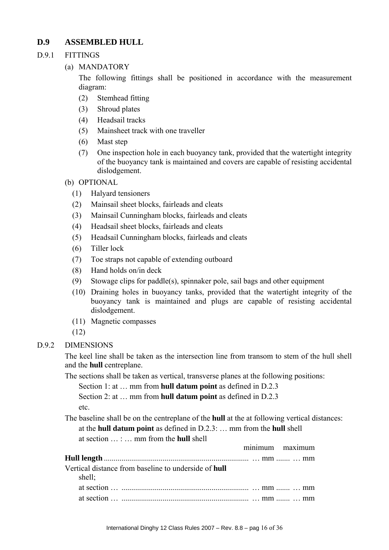# **D.9 ASSEMBLED HULL**

#### D.9.1 FITTINGS

(a) MANDATORY

 The following fittings shall be positioned in accordance with the measurement diagram:

- (2) Stemhead fitting
- (3) Shroud plates
- (4) Headsail tracks
- (5) Mainsheet track with one traveller
- (6) Mast step
- (7) One inspection hole in each buoyancy tank, provided that the watertight integrity of the buoyancy tank is maintained and covers are capable of resisting accidental dislodgement.
- (b) OPTIONAL
	- (1) Halyard tensioners
	- (2) Mainsail sheet blocks, fairleads and cleats
	- (3) Mainsail Cunningham blocks, fairleads and cleats
	- (4) Headsail sheet blocks, fairleads and cleats
	- (5) Headsail Cunningham blocks, fairleads and cleats
	- (6) Tiller lock
	- (7) Toe straps not capable of extending outboard
	- (8) Hand holds on/in deck
	- (9) Stowage clips for paddle(s), spinnaker pole, sail bags and other equipment
	- (10) Draining holes in buoyancy tanks, provided that the watertight integrity of the buoyancy tank is maintained and plugs are capable of resisting accidental dislodgement.
	- (11) Magnetic compasses
	- (12)

# D.9.2 DIMENSIONS

 The keel line shall be taken as the intersection line from transom to stem of the hull shell and the **hull** centreplane.

The sections shall be taken as vertical, transverse planes at the following positions:

Section 1: at … mm from **hull datum point** as defined in D.2.3

Section 2: at … mm from **hull datum point** as defined in D.2.3 etc.

The baseline shall be on the centreplane of the **hull** at the at following vertical distances:

at the **hull datum point** as defined in D.2.3: … mm from the **hull** shell at section … : … mm from the **hull** shell

|                                                                       | minimum maximum |
|-----------------------------------------------------------------------|-----------------|
|                                                                       |                 |
| Vertical distance from baseline to underside of <b>hull</b><br>shell; |                 |
|                                                                       |                 |
|                                                                       |                 |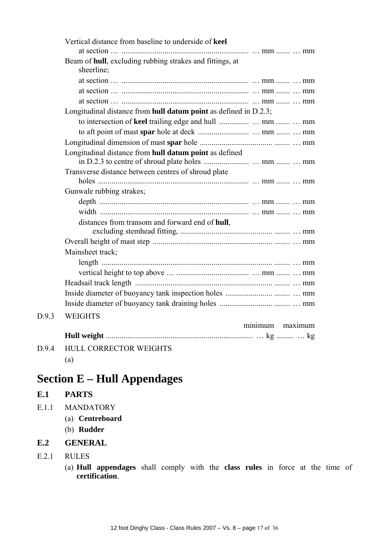|       | Vertical distance from baseline to underside of keel                   |                 |
|-------|------------------------------------------------------------------------|-----------------|
|       | Beam of hull, excluding rubbing strakes and fittings, at<br>sheerline; |                 |
|       |                                                                        |                 |
|       |                                                                        |                 |
|       |                                                                        |                 |
|       | Longitudinal distance from hull datum point as defined in D.2.3;       |                 |
|       |                                                                        |                 |
|       |                                                                        |                 |
|       |                                                                        |                 |
|       | Longitudinal distance from hull datum point as defined                 |                 |
|       | Transverse distance between centres of shroud plate                    |                 |
|       |                                                                        |                 |
|       | Gunwale rubbing strakes;                                               |                 |
|       |                                                                        |                 |
|       |                                                                        |                 |
|       | distances from transom and forward end of hull,                        |                 |
|       |                                                                        |                 |
|       | Mainsheet track;                                                       |                 |
|       |                                                                        |                 |
|       |                                                                        |                 |
|       |                                                                        |                 |
|       |                                                                        |                 |
|       |                                                                        |                 |
| D.9.3 | <b>WEIGHTS</b>                                                         |                 |
|       |                                                                        | minimum maximum |
|       |                                                                        |                 |
| D.9.4 | <b>HULL CORRECTOR WEIGHTS</b>                                          |                 |
|       | (a)                                                                    |                 |

# **Section E – Hull Appendages**

# **E.1 PARTS**

- E.1.1 MANDATORY
	- (a) **Centreboard**
	- (b) **Rudder**

# **E.2 GENERAL**

- E.2.1 RULES
	- (a) **Hull appendages** shall comply with the **class rules** in force at the time of **certification**.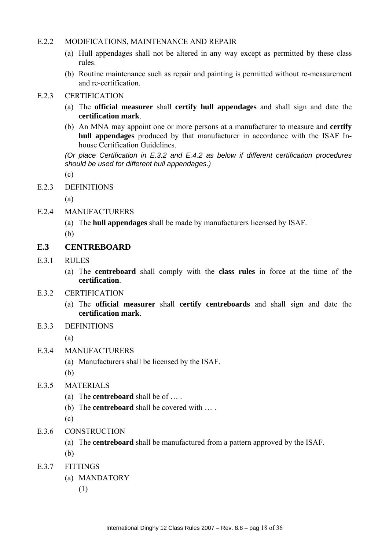#### E.2.2 MODIFICATIONS, MAINTENANCE AND REPAIR

- (a) Hull appendages shall not be altered in any way except as permitted by these class rules.
- (b) Routine maintenance such as repair and painting is permitted without re-measurement and re-certification.

#### E.2.3 CERTIFICATION

- (a) The **official measurer** shall **certify hull appendages** and shall sign and date the **certification mark**.
- (b) An MNA may appoint one or more persons at a manufacturer to measure and **certify hull appendages** produced by that manufacturer in accordance with the ISAF Inhouse Certification Guidelines.

*(Or place Certification in E.3.2 and E.4.2 as below if different certification procedures should be used for different hull appendages.)* 

(c)

E.2.3 DEFINITIONS

(a)

- E.2.4 MANUFACTURERS
	- (a) The **hull appendages** shall be made by manufacturers licensed by ISAF.

(b)

#### **E.3 CENTREBOARD**

- E.3.1 RULES
	- (a) The **centreboard** shall comply with the **class rules** in force at the time of the **certification**.
- E.3.2 CERTIFICATION
	- (a) The **official measurer** shall **certify centreboards** and shall sign and date the **certification mark**.
- E.3.3 DEFINITIONS

(a)

- E.3.4 MANUFACTURERS
	- (a) Manufacturers shall be licensed by the ISAF.

(b)

- E.3.5 MATERIALS
	- (a) The **centreboard** shall be of … .
	- (b) The **centreboard** shall be covered with … .

(c)

- E.3.6 CONSTRUCTION
	- (a) The **centreboard** shall be manufactured from a pattern approved by the ISAF.
	- (b)
- E.3.7 FITTINGS
	- (a) MANDATORY
		- (1)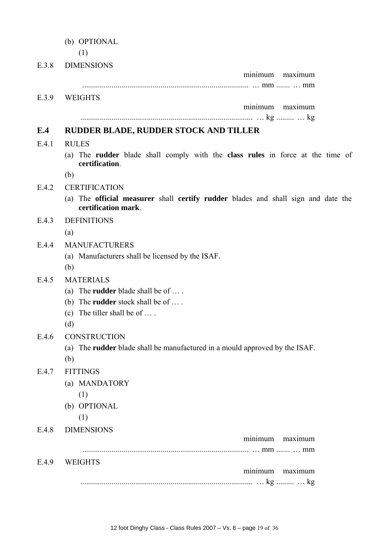- (b) OPTIONAL
- (1) E.3.8 DIMENSIONS minimum maximum ..................................................................................... … mm ....... … mm E.3.9 WEIGHTS minimum maximum ........................................................................................ … kg ......... … kg **E.4 RUDDER BLADE, RUDDER STOCK AND TILLER**  E.4.1 RULES (a) The **rudder** blade shall comply with the **class rules** in force at the time of **certification**. (b) E.4.2 CERTIFICATION (a) The **official measurer** shall **certify rudder** blades and shall sign and date the **certification mark**. E.4.3 DEFINITIONS (a) E.4.4 MANUFACTURERS (a) Manufacturers shall be licensed by the ISAF. (b) E.4.5 MATERIALS (a) The **rudder** blade shall be of … . (b) The **rudder** stock shall be of … . (c) The tiller shall be of … . (d) E.4.6 CONSTRUCTION (a) The **rudder** blade shall be manufactured in a mould approved by the ISAF. (b) E<sub>47</sub> FITTINGS (a) MANDATORY (1) (b) OPTIONAL (1) E.4.8 DIMENSIONS minimum maximum ..................................................................................... … mm ....... … mm E.4.9 WEIGHTS minimum maximum
	- ........................................................................................ … kg ......... … kg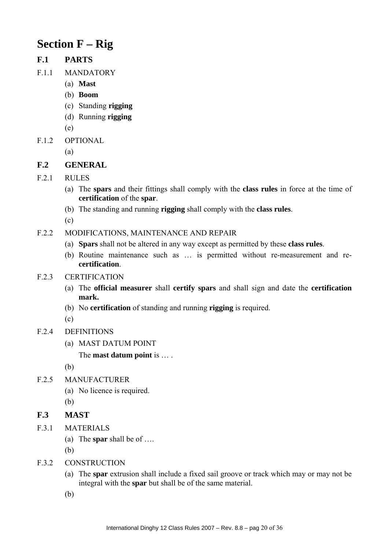# **Section F – Rig**

# **F.1 PARTS**

- F.1.1 MANDATORY
	- (a) **Mast**
	- (b) **Boom**
	- (c) Standing **rigging**
	- (d) Running **rigging**
	- (e)
- F.1.2 OPTIONAL

(a)

# **F.2 GENERAL**

- F.2.1 RULES
	- (a) The **spars** and their fittings shall comply with the **class rules** in force at the time of **certification** of the **spar**.
	- (b) The standing and running **rigging** shall comply with the **class rules**.

(c)

- F.2.2 MODIFICATIONS, MAINTENANCE AND REPAIR
	- (a) **Spars** shall not be altered in any way except as permitted by these **class rules**.
	- (b) Routine maintenance such as … is permitted without re-measurement and re**certification**.

#### F.2.3 CERTIFICATION

- (a) The **official measurer** shall **certify spars** and shall sign and date the **certification mark.**
- (b) No **certification** of standing and running **rigging** is required.

 $(c)$ 

- F.2.4 DEFINITIONS
	- (a) MAST DATUM POINT

The **mast datum point** is … .

(b)

- F.2.5 MANUFACTURER
	- (a) No licence is required.

(b)

# **F.3 MAST**

- F.3.1 MATERIALS
	- (a) The **spar** shall be of ….

(b)

- F.3.2 CONSTRUCTION
	- (a) The **spar** extrusion shall include a fixed sail groove or track which may or may not be integral with the **spar** but shall be of the same material.
	- (b)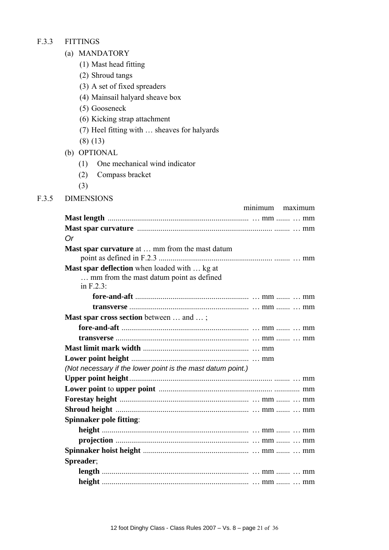#### F.3.3 FITTINGS

- (a) MANDATORY
	- (1) Mast head fitting
	- (2) Shroud tangs
	- (3) A set of fixed spreaders
	- (4) Mainsail halyard sheave box
	- (5) Gooseneck
	- (6) Kicking strap attachment
	- (7) Heel fitting with … sheaves for halyards
	- (8) (13)
- (b) OPTIONAL
	- (1) One mechanical wind indicator
	- (2) Compass bracket
	- (3)
- F.3.5 DIMENSIONS

| minimum maximum                                                                                             |
|-------------------------------------------------------------------------------------------------------------|
|                                                                                                             |
|                                                                                                             |
| 0r                                                                                                          |
| <b>Mast spar curvature</b> at  mm from the mast datum                                                       |
| <b>Mast spar deflection</b> when loaded with  kg at<br>mm from the mast datum point as defined<br>in F.2.3: |
|                                                                                                             |
|                                                                                                             |
| Mast spar cross section between  and ;                                                                      |
|                                                                                                             |
|                                                                                                             |
|                                                                                                             |
|                                                                                                             |
| (Not necessary if the lower point is the mast datum point.)                                                 |
|                                                                                                             |
|                                                                                                             |
|                                                                                                             |
|                                                                                                             |
| <b>Spinnaker pole fitting:</b>                                                                              |
|                                                                                                             |
|                                                                                                             |
|                                                                                                             |
| Spreader;                                                                                                   |
|                                                                                                             |
|                                                                                                             |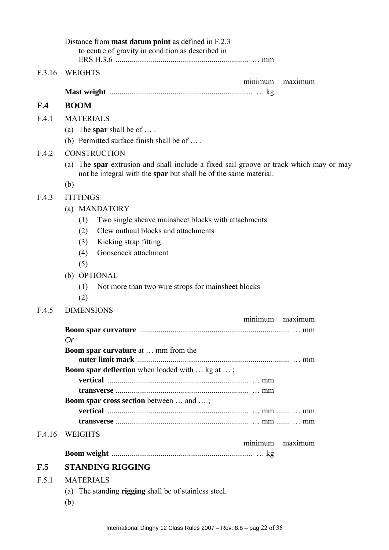|        | Distance from <b>mast datum point</b> as defined in F.2.3<br>to centre of gravity in condition as described in                                             |  |
|--------|------------------------------------------------------------------------------------------------------------------------------------------------------------|--|
| F.3.16 | <b>WEIGHTS</b>                                                                                                                                             |  |
|        | minimum<br>maximum                                                                                                                                         |  |
|        |                                                                                                                                                            |  |
| F.4    | <b>BOOM</b>                                                                                                                                                |  |
| F.4.1  | <b>MATERIALS</b>                                                                                                                                           |  |
|        | (a) The spar shall be of $\dots$ .<br>(b) Permitted surface finish shall be of $\dots$ .                                                                   |  |
| F.4.2  | <b>CONSTRUCTION</b>                                                                                                                                        |  |
|        | (a) The spar extrusion and shall include a fixed sail groove or track which may or may<br>not be integral with the spar but shall be of the same material. |  |
|        | (b)                                                                                                                                                        |  |
| F.4.3  | <b>FITTINGS</b>                                                                                                                                            |  |
|        | (a) MANDATORY                                                                                                                                              |  |
|        | Two single sheave mainsheet blocks with attachments<br>(1)                                                                                                 |  |
|        | Clew outhaul blocks and attachments<br>(2)                                                                                                                 |  |
|        | Kicking strap fitting<br>(3)                                                                                                                               |  |
|        | Gooseneck attachment<br>(4)                                                                                                                                |  |
|        | (5)                                                                                                                                                        |  |
|        | (b) OPTIONAL                                                                                                                                               |  |
|        | Not more than two wire strops for mainsheet blocks<br>(1)<br>(2)                                                                                           |  |
| F.4.5  | <b>DIMENSIONS</b>                                                                                                                                          |  |
|        | minimum<br>maximum                                                                                                                                         |  |
|        |                                                                                                                                                            |  |
|        | <b>Or</b><br><b>Boom spar curvature at  mm from the</b>                                                                                                    |  |
|        |                                                                                                                                                            |  |
|        | <b>Boom spar deflection</b> when loaded with  kg at ;                                                                                                      |  |
|        |                                                                                                                                                            |  |
|        |                                                                                                                                                            |  |
|        | <b>Boom spar cross section</b> between  and ;                                                                                                              |  |
|        |                                                                                                                                                            |  |
| F.4.16 | <b>WEIGHTS</b>                                                                                                                                             |  |
|        | maximum<br>minimum                                                                                                                                         |  |
| F.5    | <b>STANDING RIGGING</b>                                                                                                                                    |  |
|        |                                                                                                                                                            |  |
| F.5.1  | <b>MATERIALS</b>                                                                                                                                           |  |
|        | (a) The standing <b>rigging</b> shall be of stainless steel.                                                                                               |  |
|        | (b)                                                                                                                                                        |  |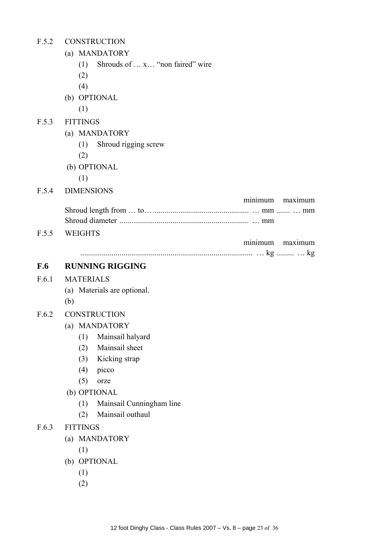| <b>CONSTRUCTION</b><br>F.5.2 |
|------------------------------|
|------------------------------|

- (a) MANDATORY
	- (1) Shrouds of … x… "non faired" wire
	- (2)
	- (4)
- (b) OPTIONAL
	- (1)
- F.5.3 FITTINGS
	- (a) MANDATORY
		- (1) Shroud rigging screw
		- (2)
	- (b) OPTIONAL
		- (1)
- F.5.4 DIMENSIONS

|  | minimum maximum |
|--|-----------------|
|  |                 |
|  |                 |
|  |                 |

F.5.5 WEIGHTS

|  | maximum |
|--|---------|
|  |         |

#### **F.6 RUNNING RIGGING**

#### F.6.1 MATERIALS

- (a) Materials are optional.
- (b)

#### F.6.2 CONSTRUCTION

- (a) MANDATORY
	- (1) Mainsail halyard
	- (2) Mainsail sheet
	- (3) Kicking strap
	- (4) picco
	- (5) orze
- (b) OPTIONAL
	- (1) Mainsail Cunningham line
	- (2) Mainsail outhaul

#### F.6.3 FITTINGS

- (a) MANDATORY
	- (1)
- (b) OPTIONAL
	- (1)
	- (2)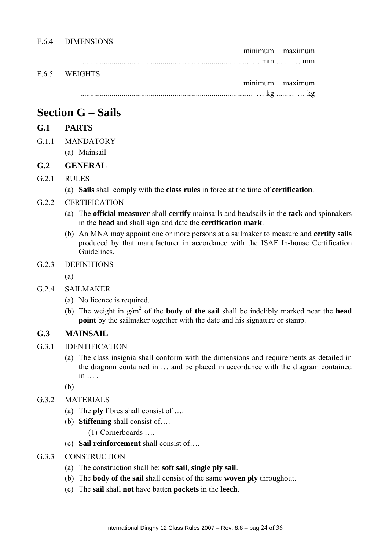minimum maximum ..................................................................................... … mm ....... … mm

F.6.5 WEIGHTS

 minimum maximum ........................................................................................ … kg ......... … kg

# **Section G – Sails**

# **G.1 PARTS**

- G.1.1 MANDATORY
	- (a) Mainsail

# **G.2 GENERAL**

# G.2.1 RULES

- (a) **Sails** shall comply with the **class rules** in force at the time of **certification**.
- G.2.2 CERTIFICATION
	- (a) The **official measurer** shall **certify** mainsails and headsails in the **tack** and spinnakers in the **head** and shall sign and date the **certification mark**.
	- (b) An MNA may appoint one or more persons at a sailmaker to measure and **certify sails** produced by that manufacturer in accordance with the ISAF In-house Certification Guidelines.
- G.2.3 DEFINITIONS
	- (a)
- G.2.4 SAILMAKER
	- (a) No licence is required.
	- (b) The weight in  $g/m^2$  of the **body of the sail** shall be indelibly marked near the **head point** by the sailmaker together with the date and his signature or stamp.

# **G.3 MAINSAIL**

- G.3.1 IDENTIFICATION
	- (a) The class insignia shall conform with the dimensions and requirements as detailed in the diagram contained in … and be placed in accordance with the diagram contained in … .

(b)

- G.3.2 MATERIALS
	- (a) The **ply** fibres shall consist of ….
	- (b) **Stiffening** shall consist of….

(1) Cornerboards ….

(c) **Sail reinforcement** shall consist of….

#### G.3.3 CONSTRUCTION

- (a) The construction shall be: **soft sail**, **single ply sail**.
- (b) The **body of the sail** shall consist of the same **woven ply** throughout.
- (c) The **sail** shall **not** have batten **pockets** in the **leech**.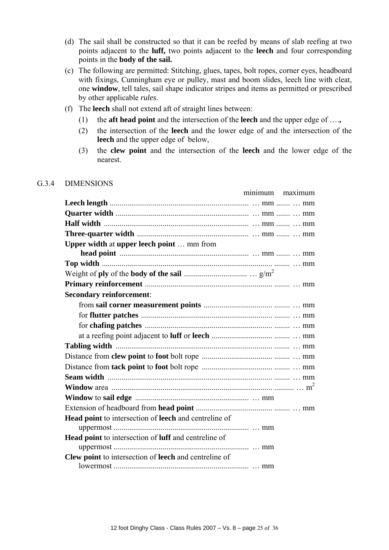- (d) The sail shall be constructed so that it can be reefed by means of slab reefing at two points adjacent to the **luff,** two points adjacent to the **leech** and four corresponding points in the **body of the sail.**
- (c) The following are permitted: Stitching, glues, tapes, bolt ropes, corner eyes, headboard with fixings, Cunningham eye or pulley, mast and boom slides, leech line with cleat, one **window**, tell tales, sail shape indicator stripes and items as permitted or prescribed by other applicable *rules*.
- (f) The **leech** shall not extend aft of straight lines between:
	- (1) the **aft head point** and the intersection of the **leech** and the upper edge of ….**,**
	- (2) the intersection of the **leech** and the lower edge of and the intersection of the **leech** and the upper edge of below,
	- (3) the **clew point** and the intersection of the **leech** and the lower edge of the nearest.

#### G.3.4 DIMENSIONS

|                                                                     | minimum | maximum |
|---------------------------------------------------------------------|---------|---------|
|                                                                     |         |         |
|                                                                     |         |         |
|                                                                     |         |         |
|                                                                     |         |         |
| <b>Upper width at upper leech point  mm from</b>                    |         |         |
|                                                                     |         |         |
|                                                                     |         |         |
|                                                                     |         |         |
| <b>Secondary reinforcement:</b>                                     |         |         |
|                                                                     |         |         |
|                                                                     |         |         |
|                                                                     |         |         |
|                                                                     |         |         |
|                                                                     |         |         |
|                                                                     |         |         |
|                                                                     |         |         |
|                                                                     |         |         |
|                                                                     |         |         |
|                                                                     |         |         |
|                                                                     |         |         |
| <b>Head point</b> to intersection of <b>leech</b> and centreline of |         |         |
| <b>Head point</b> to intersection of <b>luff</b> and centreline of  |         |         |
| Clew point to intersection of leech and centreline of               |         |         |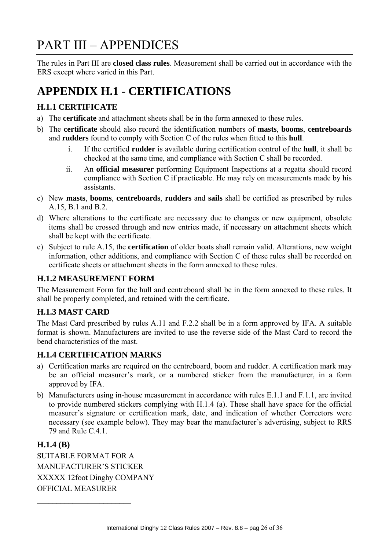# PART III – APPENDICES

The rules in Part III are **closed class rules**. Measurement shall be carried out in accordance with the ERS except where varied in this Part.

# **APPENDIX H.1 - CERTIFICATIONS**

# **H.1.1 CERTIFICATE**

- a) The **certificate** and attachment sheets shall be in the form annexed to these rules.
- b) The **certificate** should also record the identification numbers of **masts**, **booms**, **centreboards** and **rudders** found to comply with Section C of the rules when fitted to this **hull**.
	- i. If the certified **rudder** is available during certification control of the **hull**, it shall be checked at the same time, and compliance with Section C shall be recorded.
	- ii. An **official measurer** performing Equipment Inspections at a regatta should record compliance with Section C if practicable. He may rely on measurements made by his assistants.
- c) New **masts**, **booms**, **centreboards**, **rudders** and **sails** shall be certified as prescribed by rules A.15, B.1 and B.2.
- d) Where alterations to the certificate are necessary due to changes or new equipment, obsolete items shall be crossed through and new entries made, if necessary on attachment sheets which shall be kept with the certificate.
- e) Subject to rule A.15, the **certification** of older boats shall remain valid. Alterations, new weight information, other additions, and compliance with Section C of these rules shall be recorded on certificate sheets or attachment sheets in the form annexed to these rules.

# **H.1.2 MEASUREMENT FORM**

The Measurement Form for the hull and centreboard shall be in the form annexed to these rules. It shall be properly completed, and retained with the certificate.

# **H.1.3 MAST CARD**

The Mast Card prescribed by rules A.11 and F.2.2 shall be in a form approved by IFA. A suitable format is shown. Manufacturers are invited to use the reverse side of the Mast Card to record the bend characteristics of the mast.

# **H.1.4 CERTIFICATION MARKS**

- a) Certification marks are required on the centreboard, boom and rudder. A certification mark may be an official measurer's mark, or a numbered sticker from the manufacturer, in a form approved by IFA.
- b) Manufacturers using in-house measurement in accordance with rules E.1.1 and F.1.1, are invited to provide numbered stickers complying with H.1.4 (a). These shall have space for the official measurer's signature or certification mark, date, and indication of whether Correctors were necessary (see example below). They may bear the manufacturer's advertising, subject to RRS 79 and Rule C.4.1.

# **H.1.4 (B)**

SUITABLE FORMAT FOR A MANUFACTURER'S STICKER XXXXX 12foot Dinghy COMPANY OFFICIAL MEASURER

 $\mathcal{L}_\text{max}$  , where  $\mathcal{L}_\text{max}$  , we have the set of  $\mathcal{L}_\text{max}$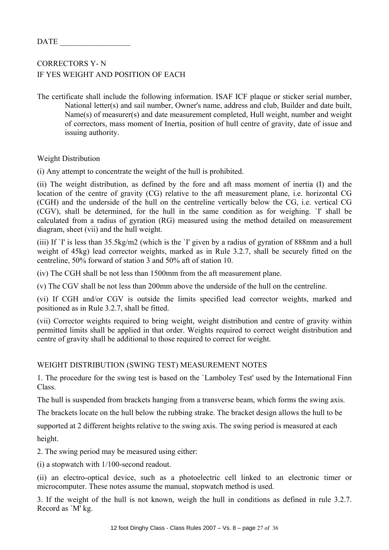| п<br>` ^<br>.<br>IA I |  |
|-----------------------|--|
|-----------------------|--|

# CORRECTORS Y- N IF YES WEIGHT AND POSITION OF EACH

The certificate shall include the following information. ISAF ICF plaque or sticker serial number, National letter(s) and sail number, Owner's name, address and club, Builder and date built, Name(s) of measurer(s) and date measurement completed, Hull weight, number and weight of correctors, mass moment of Inertia, position of hull centre of gravity, date of issue and issuing authority.

Weight Distribution

(i) Any attempt to concentrate the weight of the hull is prohibited.

(ii) The weight distribution, as defined by the fore and aft mass moment of inertia (I) and the location of the centre of gravity (CG) relative to the aft measurement plane, i.e. horizontal CG (CGH) and the underside of the hull on the centreline vertically below the CG, i.e. vertical CG (CGV), shall be determined, for the hull in the same condition as for weighing. `I' shall be calculated from a radius of gyration (RG) measured using the method detailed on measurement diagram, sheet (vii) and the hull weight.

(iii) If `I' is less than 35.5kg/m2 (which is the `I' given by a radius of gyration of 888mm and a hull weight of 45kg) lead corrector weights, marked as in Rule 3.2.7, shall be securely fitted on the centreline, 50% forward of station 3 and 50% aft of station 10.

(iv) The CGH shall be not less than 1500mm from the aft measurement plane.

(v) The CGV shall be not less than 200mm above the underside of the hull on the centreline.

(vi) If CGH and/or CGV is outside the limits specified lead corrector weights, marked and positioned as in Rule 3.2.7, shall be fitted.

(vii) Corrector weights required to bring weight, weight distribution and centre of gravity within permitted limits shall be applied in that order. Weights required to correct weight distribution and centre of gravity shall be additional to those required to correct for weight.

#### WEIGHT DISTRIBUTION (SWING TEST) MEASUREMENT NOTES

1. The procedure for the swing test is based on the `Lamboley Test' used by the International Finn Class.

The hull is suspended from brackets hanging from a transverse beam, which forms the swing axis.

The brackets locate on the hull below the rubbing strake. The bracket design allows the hull to be

supported at 2 different heights relative to the swing axis. The swing period is measured at each height.

2. The swing period may be measured using either:

(i) a stopwatch with 1/100-second readout.

(ii) an electro-optical device, such as a photoelectric cell linked to an electronic timer or microcomputer. These notes assume the manual, stopwatch method is used.

3. If the weight of the hull is not known, weigh the hull in conditions as defined in rule 3.2.7. Record as `M' kg.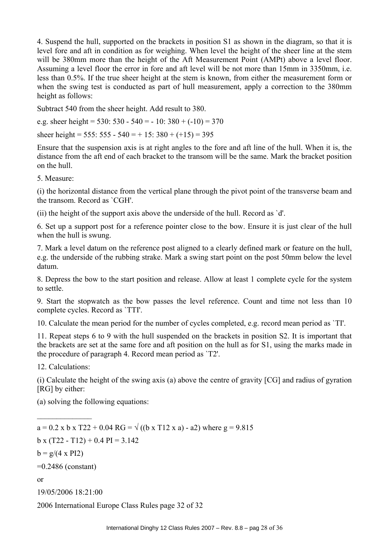4. Suspend the hull, supported on the brackets in position S1 as shown in the diagram, so that it is level fore and aft in condition as for weighing. When level the height of the sheer line at the stem will be 380mm more than the height of the Aft Measurement Point (AMPt) above a level floor. Assuming a level floor the error in fore and aft level will be not more than 15mm in 3350mm, i.e. less than 0.5%. If the true sheer height at the stem is known, from either the measurement form or when the swing test is conducted as part of hull measurement, apply a correction to the 380mm height as follows:

Subtract 540 from the sheer height. Add result to 380.

e.g. sheer height =  $530: 530 - 540 = -10: 380 + (-10) = 370$ 

sheer height = 555: 555 - 540 = + 15: 380 +  $(+15)$  = 395

Ensure that the suspension axis is at right angles to the fore and aft line of the hull. When it is, the distance from the aft end of each bracket to the transom will be the same. Mark the bracket position on the hull.

5. Measure:

(i) the horizontal distance from the vertical plane through the pivot point of the transverse beam and the transom. Record as `CGH'.

(ii) the height of the support axis above the underside of the hull. Record as `d'.

6. Set up a support post for a reference pointer close to the bow. Ensure it is just clear of the hull when the hull is swung.

7. Mark a level datum on the reference post aligned to a clearly defined mark or feature on the hull, e.g. the underside of the rubbing strake. Mark a swing start point on the post 50mm below the level datum.

8. Depress the bow to the start position and release. Allow at least 1 complete cycle for the system to settle.

9. Start the stopwatch as the bow passes the level reference. Count and time not less than 10 complete cycles. Record as `TTI'.

10. Calculate the mean period for the number of cycles completed, e.g. record mean period as `TI'.

11. Repeat steps 6 to 9 with the hull suspended on the brackets in position S2. It is important that the brackets are set at the same fore and aft position on the hull as for S1, using the marks made in the procedure of paragraph 4. Record mean period as `T2'.

12. Calculations:

 $\frac{1}{2}$ 

(i) Calculate the height of the swing axis (a) above the centre of gravity [CG] and radius of gyration [RG] by either:

(a) solving the following equations:

 $a = 0.2$  x b x T22 + 0.04 RG =  $\sqrt{(b \times 12 \times a)}$  - a2) where g = 9.815  $b \times (T22 - T12) + 0.4 \text{ PI} = 3.142$  $b = g/(4 \times PI2)$ =0.2486 (constant) or 19/05/2006 18:21:00

2006 International Europe Class Rules page 32 of 32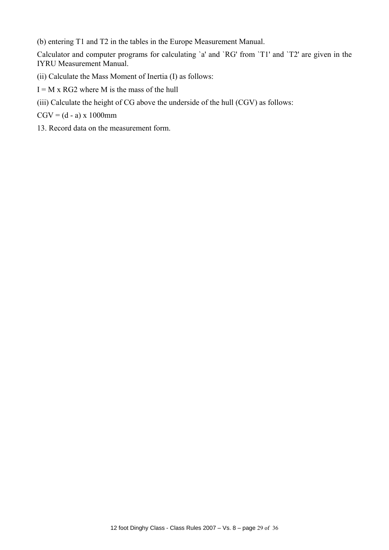(b) entering T1 and T2 in the tables in the Europe Measurement Manual.

Calculator and computer programs for calculating `a' and `RG' from `T1' and `T2' are given in the IYRU Measurement Manual.

- (ii) Calculate the Mass Moment of Inertia (I) as follows:
- $I = M x RG2$  where M is the mass of the hull
- (iii) Calculate the height of CG above the underside of the hull (CGV) as follows:

 $CGV = (d - a) \times 1000$ mm

13. Record data on the measurement form.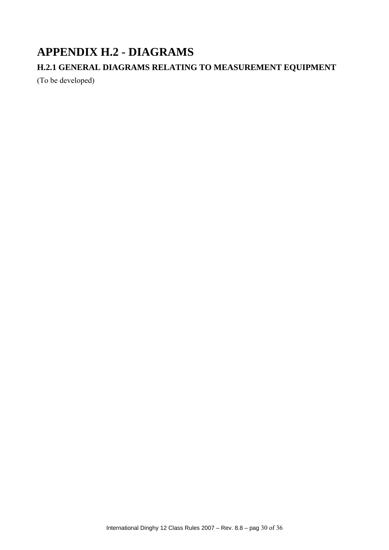# **APPENDIX H.2 - DIAGRAMS**

# **H.2.1 GENERAL DIAGRAMS RELATING TO MEASUREMENT EQUIPMENT**

(To be developed)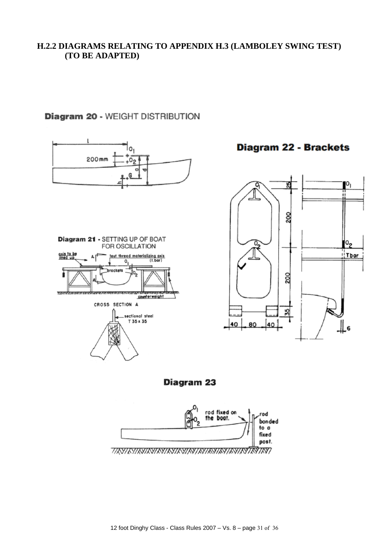# **H.2.2 DIAGRAMS RELATING TO APPENDIX H.3 (LAMBOLEY SWING TEST) (TO BE ADAPTED)**

# Diagram 20 - WEIGHT DISTRIBUTION



Ю,

 $\overline{\mathsf{P}}_2$ 

 $i$  Tbar

ء ‼



12 foot Dinghy Class - Class Rules 2007 – Vs. 8 – page 31 of 36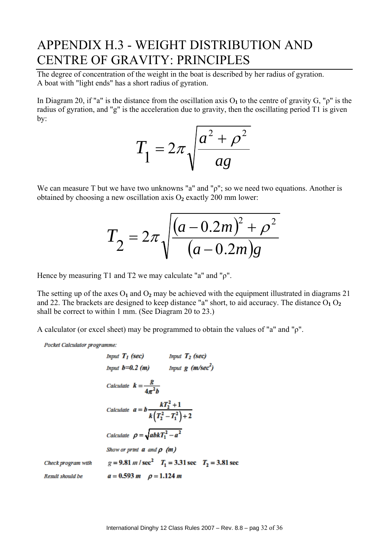# APPENDIX H.3 - WEIGHT DISTRIBUTION AND CENTRE OF GRAVITY: PRINCIPLES

The degree of concentration of the weight in the boat is described by her radius of gyration. A boat with "light ends" has a short radius of gyration.

In Diagram 20, if "a" is the distance from the oscillation axis  $O_1$  to the centre of gravity G, " $\rho$ " is the radius of gyration, and "g" is the acceleration due to gravity, then the oscillating period T1 is given by:

$$
T_1 = 2\pi \sqrt{\frac{a^2 + \rho^2}{ag}}
$$

We can measure T but we have two unknowns "a" and "ρ"; so we need two equations. Another is obtained by choosing a new oscillation axis O**2** exactly 200 mm lower:

$$
T_2 = 2\pi \sqrt{\frac{(a - 0.2m)^2 + \rho^2}{(a - 0.2m)g}}
$$

Hence by measuring T1 and T2 we may calculate "a" and "ρ".

The setting up of the axes  $O_1$  and  $O_2$  may be achieved with the equipment illustrated in diagrams 21 and 22. The brackets are designed to keep distance "a" short, to aid accuracy. The distance  $O_1 O_2$ shall be correct to within 1 mm. (See Diagram 20 to 23.)

A calculator (or excel sheet) may be programmed to obtain the values of "a" and "ρ".

Pocket Calculator programme:

|                    | <i>Input</i> $T_I$ (sec)                                  | Input $T_2$ (sec)                                                                         |
|--------------------|-----------------------------------------------------------|-------------------------------------------------------------------------------------------|
|                    | Input $b=0.2$ (m) Input g (m/sec <sup>2</sup> )           |                                                                                           |
|                    | Calculate $k = \frac{g}{4\pi^2 h}$                        |                                                                                           |
|                    | Calculate $a = b \frac{kT_2^2 + 1}{k(T_2^2 - T_1^2) + 2}$ |                                                                                           |
|                    | Calculate $\rho = \sqrt{abkT_1^2 - a^2}$                  |                                                                                           |
|                    | Show or print $a$ and $p$ (m)                             |                                                                                           |
| Check program with |                                                           | $g = 9.81 \text{ m}$ / sec <sup>2</sup> $T_1 = 3.31 \text{ sec}$ $T_2 = 3.81 \text{ sec}$ |
| Result should be   | $a = 0.593 m$ $\rho = 1.124 m$                            |                                                                                           |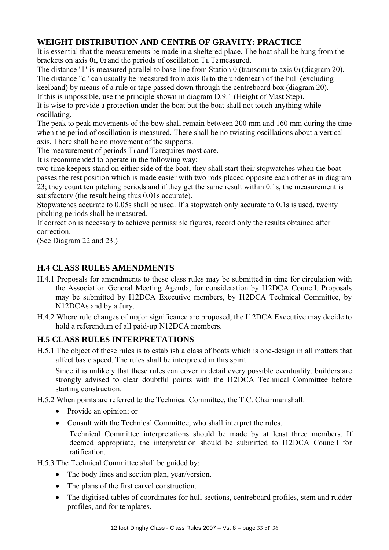# **WEIGHT DISTRIBUTION AND CENTRE OF GRAVITY: PRACTICE**

It is essential that the measurements be made in a sheltered place. The boat shall be hung from the brackets on axis 0**1**, 0**2** and the periods of oscillation T**1,** T**2** measured.

The distance "l" is measured parallel to base line from Station 0 (transom) to axis 0**1** (diagram 20). The distance "d" can usually be measured from axis 0**1** to the underneath of the hull (excluding

keelband) by means of a rule or tape passed down through the centreboard box (diagram 20).

If this is impossible, use the principle shown in diagram D.9.1 (Height of Mast Step).

It is wise to provide a protection under the boat but the boat shall not touch anything while oscillating.

The peak to peak movements of the bow shall remain between 200 mm and 160 mm during the time when the period of oscillation is measured. There shall be no twisting oscillations about a vertical axis. There shall be no movement of the supports.

The measurement of periods T**1** and T**2** requires most care.

It is recommended to operate in the following way:

two time keepers stand on either side of the boat, they shall start their stopwatches when the boat passes the rest position which is made easier with two rods placed opposite each other as in diagram 23; they count ten pitching periods and if they get the same result within 0.1s, the measurement is satisfactory (the result being thus 0.01s accurate).

Stopwatches accurate to 0.05s shall be used. If a stopwatch only accurate to 0.1s is used, twenty pitching periods shall be measured.

If correction is necessary to achieve permissible figures, record only the results obtained after correction.

(See Diagram 22 and 23.)

# **H.4 CLASS RULES AMENDMENTS**

- H.4.1 Proposals for amendments to these class rules may be submitted in time for circulation with the Association General Meeting Agenda, for consideration by I12DCA Council. Proposals may be submitted by I12DCA Executive members, by I12DCA Technical Committee, by N12DCAs and by a Jury.
- H.4.2 Where rule changes of major significance are proposed, the I12DCA Executive may decide to hold a referendum of all paid-up N12DCA members.

# **H.5 CLASS RULES INTERPRETATIONS**

H.5.1 The object of these rules is to establish a class of boats which is one-design in all matters that affect basic speed. The rules shall be interpreted in this spirit.

Since it is unlikely that these rules can cover in detail every possible eventuality, builders are strongly advised to clear doubtful points with the I12DCA Technical Committee before starting construction.

- H.5.2 When points are referred to the Technical Committee, the T.C. Chairman shall:
	- Provide an opinion; or
	- Consult with the Technical Committee, who shall interpret the rules.

Technical Committee interpretations should be made by at least three members. If deemed appropriate, the interpretation should be submitted to I12DCA Council for ratification.

H.5.3 The Technical Committee shall be guided by:

- The body lines and section plan, year/version.
- The plans of the first carvel construction.
- The digitised tables of coordinates for hull sections, centreboard profiles, stem and rudder profiles, and for templates.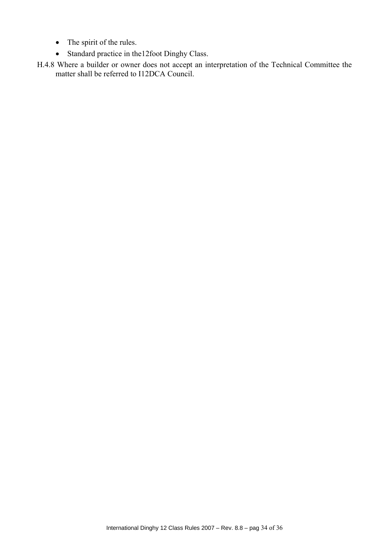- The spirit of the rules.
- Standard practice in the12foot Dinghy Class.
- H.4.8 Where a builder or owner does not accept an interpretation of the Technical Committee the matter shall be referred to I12DCA Council.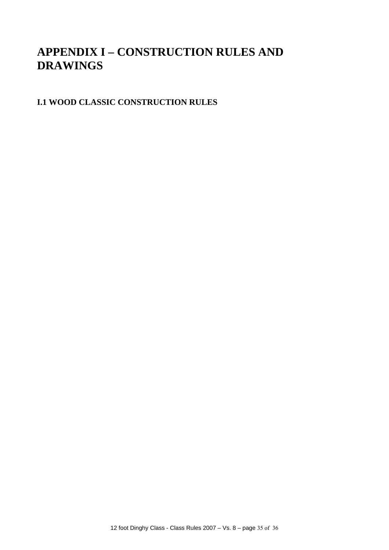# **APPENDIX I – CONSTRUCTION RULES AND DRAWINGS**

# **I.1 WOOD CLASSIC CONSTRUCTION RULES**